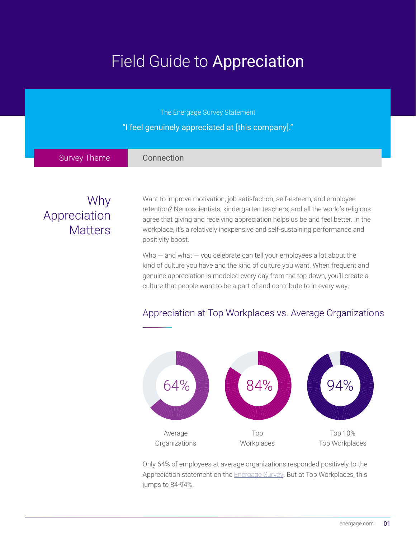# Field Guide to Appreciation

| The Energage Survey Statement<br>"I feel genuinely appreciated at [this company]." |                                                                                                                                                                                                                                                                                                                                                                                                                                                                                                                          |
|------------------------------------------------------------------------------------|--------------------------------------------------------------------------------------------------------------------------------------------------------------------------------------------------------------------------------------------------------------------------------------------------------------------------------------------------------------------------------------------------------------------------------------------------------------------------------------------------------------------------|
| <b>Survey Theme</b>                                                                | Connection                                                                                                                                                                                                                                                                                                                                                                                                                                                                                                               |
| Why<br>Appreciation<br><b>Matters</b>                                              | Want to improve motivation, job satisfaction, self-esteem, and employee<br>retention? Neuroscientists, kindergarten teachers, and all the world's religions<br>agree that giving and receiving appreciation helps us be and feel better. In the<br>workplace, it's a relatively inexpensive and self-sustaining performance and<br>positivity boost.<br>Who $-$ and what $-$ you celebrate can tell your employees a lot about the<br><u>Lind of outuro vou boys and the kind of outure vou wont. When frequent and </u> |

kind of culture you have and the kind of culture you want. When frequent and genuine appreciation is modeled every day from the top down, you'll create a culture that people want to be a part of and contribute to in every way.



### Appreciation at Top Workplaces vs. Average Organizations

Only 64% of employees at average organizations responded positively to the Appreciation statement on the **[Energage Survey](http://www.energage.com/survey)**. But at Top Workplaces, this jumps to 84-94%.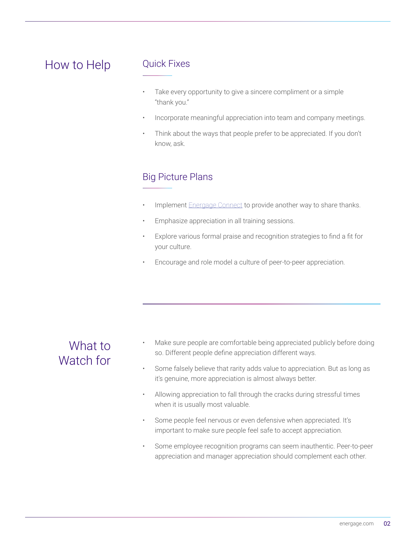# How to Help

#### Quick Fixes

- Take every opportunity to give a sincere compliment or a simple "thank you."
- Incorporate meaningful appreciation into team and company meetings.
- Think about the ways that people prefer to be appreciated. If you don't know, ask.

### Big Picture Plans

- Implement **[Energage Connect](http://www.energage.com/connect)** to provide another way to share thanks.
- Emphasize appreciation in all training sessions.
- Explore various formal praise and recognition strategies to find a fit for your culture.
- Encourage and role model a culture of peer-to-peer appreciation.

### What to Watch for

- Make sure people are comfortable being appreciated publicly before doing so. Different people define appreciation different ways.
- Some falsely believe that rarity adds value to appreciation. But as long as it's genuine, more appreciation is almost always better.
- Allowing appreciation to fall through the cracks during stressful times when it is usually most valuable.
- Some people feel nervous or even defensive when appreciated. It's important to make sure people feel safe to accept appreciation.
- Some employee recognition programs can seem inauthentic. Peer-to-peer appreciation and manager appreciation should complement each other.